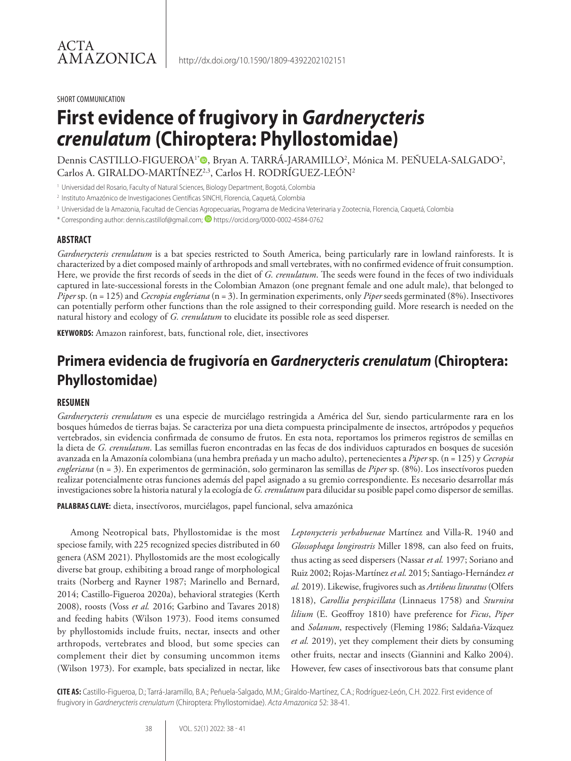#### SHORT COMMUNICATION

# **First evidence of frugivory in** *Gardnerycteris crenulatum* **(Chiroptera: Phyllostomidae)**

Dennis CASTILLO-FIGUEROA<sup>1</sup>®, Bryan A. TARRA-JARAMILLO<sup>2</sup>, Mónica M. PEÑUELA-SALGADO<sup>2</sup>, Carlos A. GIRALDO-MARTÍNEZ<sup>2,3</sup>, Carlos H. RODRÍGUEZ-LEÓN<sup>2</sup>

<sup>1</sup> Universidad del Rosario, Faculty of Natural Sciences, Biology Department, Bogotá, Colombia

2 Instituto Amazónico de Investigaciones Científicas SINCHI, Florencia, Caquetá, Colombia

<sup>3</sup> Universidad de la Amazonia, Facultad de Ciencias Agropecuarias, Programa de Medicina Veterinaria y Zootecnia, Florencia, Caquetá, Colombia

\* Corresponding author: dennis.castillof@gmail.com; https://orcid.org/0000-0002-4584-0762

#### **ABSTRACT**

*Gardnerycteris crenulatum* is a bat species restricted to South America, being particularly rare in lowland rainforests. It is characterized by a diet composed mainly of arthropods and small vertebrates, with no confirmed evidence of fruit consumption. Here, we provide the first records of seeds in the diet of *G. crenulatum*. The seeds were found in the feces of two individuals captured in late-successional forests in the Colombian Amazon (one pregnant female and one adult male), that belonged to *Piper* sp. (n = 125) and *Cecropia engleriana* (n = 3). In germination experiments, only *Piper* seeds germinated (8%). Insectivores can potentially perform other functions than the role assigned to their corresponding guild. More research is needed on the natural history and ecology of *G. crenulatum* to elucidate its possible role as seed disperser.

**KEYWORDS:** Amazon rainforest, bats, functional role, diet, insectivores

# **Primera evidencia de frugivoría en** *Gardnerycteris crenulatum* **(Chiroptera: Phyllostomidae)**

#### **RESUMEN**

*Gardnerycteris crenulatum* es una especie de murciélago restringida a América del Sur, siendo particularmente rara en los bosques húmedos de tierras bajas. Se caracteriza por una dieta compuesta principalmente de insectos, artrópodos y pequeños vertebrados, sin evidencia confirmada de consumo de frutos. En esta nota, reportamos los primeros registros de semillas en la dieta de *G. crenulatum*. Las semillas fueron encontradas en las fecas de dos individuos capturados en bosques de sucesión avanzada en la Amazonía colombiana (una hembra preñada y un macho adulto), pertenecientes a *Piper* sp. (n = 125) y *Cecropia engleriana* (n = 3). En experimentos de germinación, solo germinaron las semillas de *Piper* sp. (8%). Los insectívoros pueden realizar potencialmente otras funciones además del papel asignado a su gremio correspondiente. Es necesario desarrollar más investigaciones sobre la historia natural y la ecología de *G. crenulatum* para dilucidar su posible papel como dispersor de semillas.

**PALABRAS CLAVE:** dieta, insectívoros, murciélagos, papel funcional, selva amazónica

Among Neotropical bats, Phyllostomidae is the most speciose family, with 225 recognized species distributed in 60 genera (ASM 2021). Phyllostomids are the most ecologically diverse bat group, exhibiting a broad range of morphological traits (Norberg and Rayner 1987; Marinello and Bernard, 2014; Castillo-Figueroa 2020a), behavioral strategies (Kerth 2008), roosts (Voss *et al.* 2016; Garbino and Tavares 2018) and feeding habits (Wilson 1973). Food items consumed by phyllostomids include fruits, nectar, insects and other arthropods, vertebrates and blood, but some species can complement their diet by consuming uncommon items (Wilson 1973). For example, bats specialized in nectar, like

*Leptonycteris yerbabuenae* Martínez and Villa-R. 1940 and *Glossophaga longirostris* Miller 1898*,* can also feed on fruits, thus acting as seed dispersers (Nassar *et al.* 1997; Soriano and Ruiz 2002; Rojas-Martínez *et al.* 2015; Santiago-Hernández *et al.* 2019). Likewise, frugivores such as *Artibeus lituratus* (Olfers 1818), *Carollia perspicillata* (Linnaeus 1758) and *Sturnira lilium* (E. Geoffroy 1810) have preference for *Ficus*, *Piper* and *Solanum*, respectively (Fleming 1986; Saldaña-Vázquez *et al.* 2019), yet they complement their diets by consuming other fruits, nectar and insects (Giannini and Kalko 2004). However, few cases of insectivorous bats that consume plant

**CITE AS:** Castillo-Figueroa, D.; Tarrá-Jaramillo, B.A.; Peñuela-Salgado, M.M.; Giraldo-Martínez, C.A.; Rodríguez-León, C.H. 2022. First evidence of frugivory in *Gardnerycteris crenulatum* (Chiroptera: Phyllostomidae). *Acta Amazonica* 52: 38-41.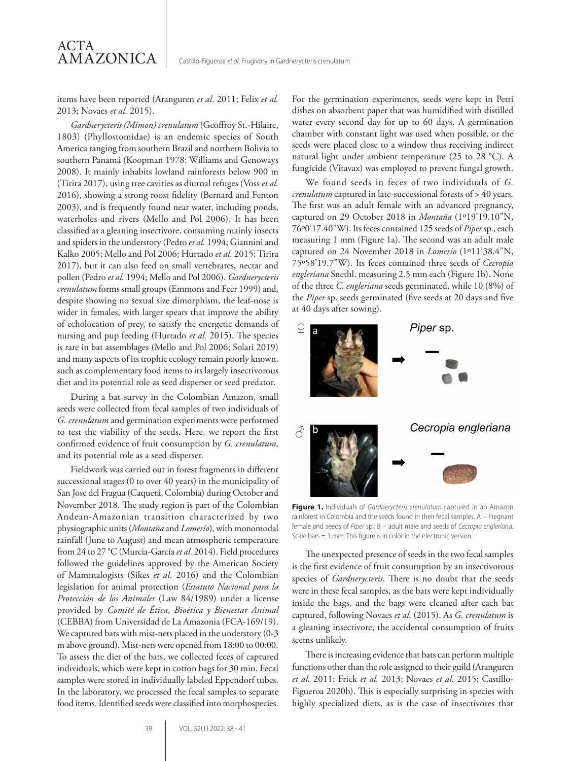items have been reported (Aranguren *et al*. 2011; Felix *et al.* 2013; Novaes *et al.* 2015).

*Gardnerycteris (Mimon) crenulatum* (Geoffroy St.-Hilaire, 1803) (Phyllostomidae) is an endemic species of South America ranging from southern Brazil and northern Bolivia to southern Panamá (Koopman 1978; Williams and Genoways 2008). It mainly inhabits lowland rainforests below 900 m (Tirira 2017), using tree cavities as diurnal refuges (Voss *et al.* 2016), showing a strong roost fidelity (Bernard and Fenton 2003), and is frequently found near water, including ponds, waterholes and rivers (Mello and Pol 2006). It has been classified as a gleaning insectivore, consuming mainly insects and spiders in the understory (Pedro *et al.* 1994; Giannini and Kalko 2005; Mello and Pol 2006; Hurtado *et al.* 2015; Tirira 2017), but it can also feed on small vertebrates, nectar and pollen (Pedro *et al.* 1994; Mello and Pol 2006). *Gardnerycteris crenulatum* forms small groups (Emmons and Feer 1999) and, despite showing no sexual size dimorphism, the leaf-nose is wider in females, with larger spears that improve the ability of echolocation of prey, to satisfy the energetic demands of nursing and pup feeding (Hurtado *et al.* 2015). The species is rare in bat assemblages (Mello and Pol 2006; Solari 2019) and many aspects of its trophic ecology remain poorly known, such as complementary food items to its largely insectivorous diet and its potential role as seed disperser or seed predator.

During a bat survey in the Colombian Amazon, small seeds were collected from fecal samples of two individuals of *G. crenulatum* and germination experiments were performed to test the viability of the seeds. Here, we report the first confirmed evidence of fruit consumption by *G. crenulatum*, and its potential role as a seed disperser.

Fieldwork was carried out in forest fragments in different successional stages (0 to over 40 years) in the municipality of San Jose del Fragua (Caquetá, Colombia) during October and November 2018. The study region is part of the Colombian Andean-Amazonian transition characterized by two physiographic units (*Montaña* and *Lomerío*)*,* with monomodal rainfall (June to August) and mean atmospheric temperature from 24 to 27 °C (Murcia-García *et al.* 2014). Field procedures followed the guidelines approved by the American Society of Mammalogists (Sikes *et al.* 2016) and the Colombian legislation for animal protection (*Estatuto Nacional para la Protección de los Animales* (Law 84/1989) under a license provided by *Comité de Ética, Bioética y Bienestar Animal* (CEBBA) from Universidad de La Amazonia (FCA-169/19). We captured bats with mist-nets placed in the understory (0-3 m above ground). Mist-nets were opened from 18:00 to 00:00. To assess the diet of the bats, we collected feces of captured individuals, which were kept in cotton bags for 30 min. Fecal samples were stored in individually labeled Eppendorf tubes. In the laboratory, we processed the fecal samples to separate food items. Identified seeds were classified into morphospecies.

For the germination experiments, seeds were kept in Petri dishes on absorbent paper that was humidified with distilled water every second day for up to 60 days. A germination chamber with constant light was used when possible, or the seeds were placed close to a window thus receiving indirect natural light under ambient temperature (25 to 28 °C). A fungicide (Vitavax) was employed to prevent fungal growth.

We found seeds in feces of two individuals of *G. crenulatum* captured in late-successional forests of > 40 years*.* The first was an adult female with an advanced pregnancy, captured on 29 October 2018 in *Montaña* (1º19'19.10"N, 76º0'17.40"W). Its feces contained 125 seeds of *Piper* sp., each measuring 1 mm (Figure 1a). The second was an adult male captured on 24 November 2018 in *Lomerio* (1º11'38.4"N, 75º58'19.7"W). Its feces contained three seeds of *Cecropia engleriana* Snethl. measuring 2.5 mm each (Figure 1b). None of the three *C. engleriana* seeds germinated, while 10 (8%) of the *Piper* sp. seeds germinated (five seeds at 20 days and five at 40 days after sowing).



**Figure 1.** Individuals of *Gardnerycteris crenulatum* captured in an Amazon rainforest in Colombia and the seeds found in their fecal samples. A – Pregnant female and seeds of *Piper* sp.; B – adult male and seeds of *Cecropia engleriana*. Scale bars = 1 mm. This figure is in color in the electronic version.

The unexpected presence of seeds in the two fecal samples is the first evidence of fruit consumption by an insectivorous species of *Gardnerycteris*. There is no doubt that the seeds were in these fecal samples, as the bats were kept individually inside the bags, and the bags were cleaned after each bat captured, following Novaes *et al*. (2015). As *G. crenulatum* is a gleaning insectivore, the accidental consumption of fruits seems unlikely.

There is increasing evidence that bats can perform multiple functions other than the role assigned to their guild (Aranguren *et al.* 2011; Frick *et al.* 2013; Novaes *et al.* 2015; Castillo-Figueroa 2020b). This is especially surprising in species with highly specialized diets, as is the case of insectivores that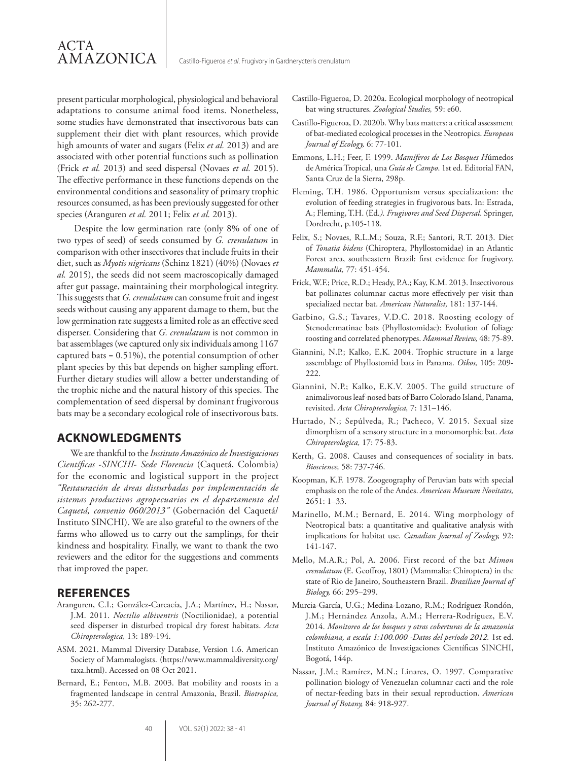present particular morphological, physiological and behavioral adaptations to consume animal food items. Nonetheless, some studies have demonstrated that insectivorous bats can supplement their diet with plant resources, which provide high amounts of water and sugars (Felix *et al.* 2013) and are associated with other potential functions such as pollination (Frick *et al.* 2013) and seed dispersal (Novaes *et al.* 2015). The effective performance in these functions depends on the environmental conditions and seasonality of primary trophic resources consumed, as has been previously suggested for other species (Aranguren *et al.* 2011; Felix *et al.* 2013).

 Despite the low germination rate (only 8% of one of two types of seed) of seeds consumed by *G. crenulatum* in comparison with other insectivores that include fruits in their diet, such as *Myotis nigricans* (Schinz 1821) (40%) (Novaes *et al.* 2015), the seeds did not seem macroscopically damaged after gut passage, maintaining their morphological integrity. This suggests that *G. crenulatum* can consume fruit and ingest seeds without causing any apparent damage to them, but the low germination rate suggests a limited role as an effective seed disperser. Considering that *G. crenulatum* is not common in bat assemblages (we captured only six individuals among 1167 captured bats = 0.51%), the potential consumption of other plant species by this bat depends on higher sampling effort. Further dietary studies will allow a better understanding of the trophic niche and the natural history of this species. The complementation of seed dispersal by dominant frugivorous bats may be a secondary ecological role of insectivorous bats.

## **ACKNOWLEDGMENTS**

We are thankful to the *Instituto Amazónico de Investigaciones Científicas* -*SINCHI*- *Sede Florencia* (Caquetá, Colombia) for the economic and logistical support in the project *"Restauración de áreas disturbadas por implementación de sistemas productivos agropecuarios en el departamento del Caquetá, convenio 060/2013"* (Gobernación del Caquetá/ Instituto SINCHI). We are also grateful to the owners of the farms who allowed us to carry out the samplings, for their kindness and hospitality. Finally, we want to thank the two reviewers and the editor for the suggestions and comments that improved the paper.

### **REFERENCES**

- Aranguren, C.I.; González-Carcacía, J.A.; Martínez, H.; Nassar, J.M. 2011. *Noctilio albiventris* (Noctilionidae), a potential seed disperser in disturbed tropical dry forest habitats. *Acta Chiropterologica,* 13: 189-194.
- ASM. 2021. Mammal Diversity Database, Version 1.6. American Society of Mammalogists. (https://www.mammaldiversity.org/ taxa.html). Accessed on 08 Oct 2021.
- Bernard, E.; Fenton, M.B. 2003. Bat mobility and roosts in a fragmented landscape in central Amazonia, Brazil. *Biotropica,* 35: 262-277.
- Castillo-Figueroa, D. 2020a. Ecological morphology of neotropical bat wing structures. *Zoological Studies,* 59: e60.
- Castillo-Figueroa, D. 2020b. Why bats matters: a critical assessment of bat-mediated ecological processes in the Neotropics. *European Journal of Ecology,* 6: 77-101.
- Emmons, L.H.; Feer, F. 1999. *Mamíferos de Los Bosques H*úmedos de América Tropical, una *Guía de Campo*. 1st ed. Editorial FAN, Santa Cruz de la Sierra, 298p.
- Fleming, T.H. 1986. Opportunism versus specialization: the evolution of feeding strategies in frugivorous bats. In: Estrada, A.; Fleming, T.H. (Ed*.). Frugivores and Seed Dispersal*. Springer, Dordrecht, p.105-118.
- Felix, S.; Novaes, R.L.M.; Souza, R.F.; Santori, R.T. 2013. Diet of *Tonatia bidens* (Chiroptera, Phyllostomidae) in an Atlantic Forest area, southeastern Brazil: first evidence for frugivory. *Mammalia,* 77: 451-454.
- Frick, W.F.; Price, R.D.; Heady, P.A.; Kay, K.M. 2013. Insectivorous bat pollinates columnar cactus more effectively per visit than specialized nectar bat. *American Naturalist,* 181: 137-144.
- Garbino, G.S.; Tavares, V.D.C. 2018. Roosting ecology of Stenodermatinae bats (Phyllostomidae): Evolution of foliage roosting and correlated phenotypes. *Mammal Review,* 48: 75-89.
- Giannini, N.P.; Kalko, E.K. 2004. Trophic structure in a large assemblage of Phyllostomid bats in Panama. *Oikos,* 105: 209- 222.
- Giannini, N.P.; Kalko, E.K.V. 2005. The guild structure of animalivorous leaf-nosed bats of Barro Colorado Island, Panama, revisited. *Acta Chiropterologica,* 7: 131–146.
- Hurtado, N.; Sepúlveda, R.; Pacheco, V. 2015. Sexual size dimorphism of a sensory structure in a monomorphic bat. *Acta Chiropterologica,* 17: 75-83.
- Kerth, G. 2008. Causes and consequences of sociality in bats. *Bioscience,* 58: 737-746.
- Koopman, K.F. 1978. Zoogeography of Peruvian bats with special emphasis on the role of the Andes. *American Museum Novitates,* 2651: 1–33.
- Marinello, M.M.; Bernard, E. 2014. Wing morphology of Neotropical bats: a quantitative and qualitative analysis with implications for habitat use. *Canadian Journal of Zoology,* 92: 141-147.
- Mello, M.A.R.; Pol, A. 2006. First record of the bat *Mimon crenulatum* (E. Geoffroy, 1801) (Mammalia: Chiroptera) in the state of Rio de Janeiro, Southeastern Brazil. *Brazilian Journal of Biology,* 66: 295–299.
- Murcia-García, U.G.; Medina-Lozano, R.M.; Rodríguez-Rondón, J.M.; Hernández Anzola, A.M.; Herrera-Rodríguez, E.V. 2014. *Monitoreo de los bosques y otras coberturas de la amazonia colombiana, a escala 1:100.000 -Datos del período 2012.* 1st ed. Instituto Amazónico de Investigaciones Científicas SINCHI, Bogotá, 144p.
- Nassar, J.M.; Ramírez, M.N.; Linares, O. 1997. Comparative pollination biology of Venezuelan columnar cacti and the role of nectar-feeding bats in their sexual reproduction. *American Journal of Botany,* 84: 918-927.